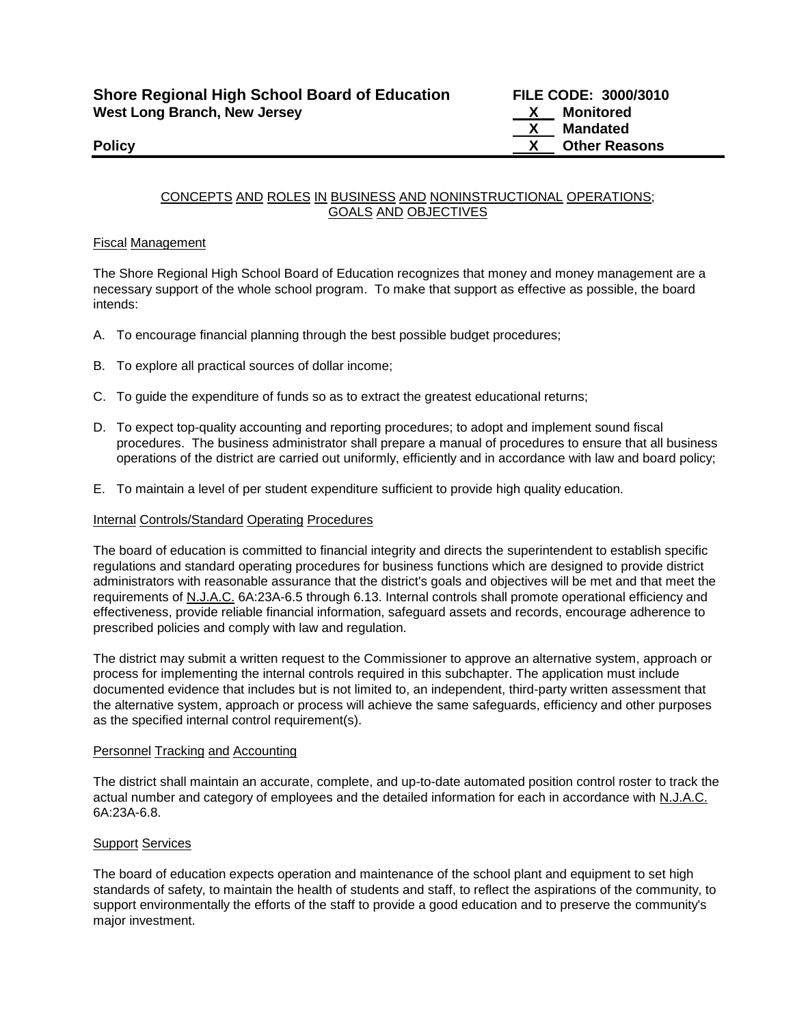# CONCEPTS AND ROLES IN BUSINESS AND NONINSTRUCTIONAL OPERATIONS; GOALS AND OBJECTIVES

# Fiscal Management

The Shore Regional High School Board of Education recognizes that money and money management are a necessary support of the whole school program. To make that support as effective as possible, the board intends:

- A. To encourage financial planning through the best possible budget procedures;
- B. To explore all practical sources of dollar income;
- C. To guide the expenditure of funds so as to extract the greatest educational returns;
- D. To expect top-quality accounting and reporting procedures; to adopt and implement sound fiscal procedures. The business administrator shall prepare a manual of procedures to ensure that all business operations of the district are carried out uniformly, efficiently and in accordance with law and board policy;
- E. To maintain a level of per student expenditure sufficient to provide high quality education.

## Internal Controls/Standard Operating Procedures

The board of education is committed to financial integrity and directs the superintendent to establish specific regulations and standard operating procedures for business functions which are designed to provide district administrators with reasonable assurance that the district's goals and objectives will be met and that meet the requirements of N.J.A.C. 6A:23A-6.5 through 6.13. Internal controls shall promote operational efficiency and effectiveness, provide reliable financial information, safeguard assets and records, encourage adherence to prescribed policies and comply with law and regulation.

The district may submit a written request to the Commissioner to approve an alternative system, approach or process for implementing the internal controls required in this subchapter. The application must include documented evidence that includes but is not limited to, an independent, third-party written assessment that the alternative system, approach or process will achieve the same safeguards, efficiency and other purposes as the specified internal control requirement(s).

## Personnel Tracking and Accounting

The district shall maintain an accurate, complete, and up-to-date automated position control roster to track the actual number and category of employees and the detailed information for each in accordance with N.J.A.C. 6A:23A-6.8.

## **Support Services**

The board of education expects operation and maintenance of the school plant and equipment to set high standards of safety, to maintain the health of students and staff, to reflect the aspirations of the community, to support environmentally the efforts of the staff to provide a good education and to preserve the community's major investment.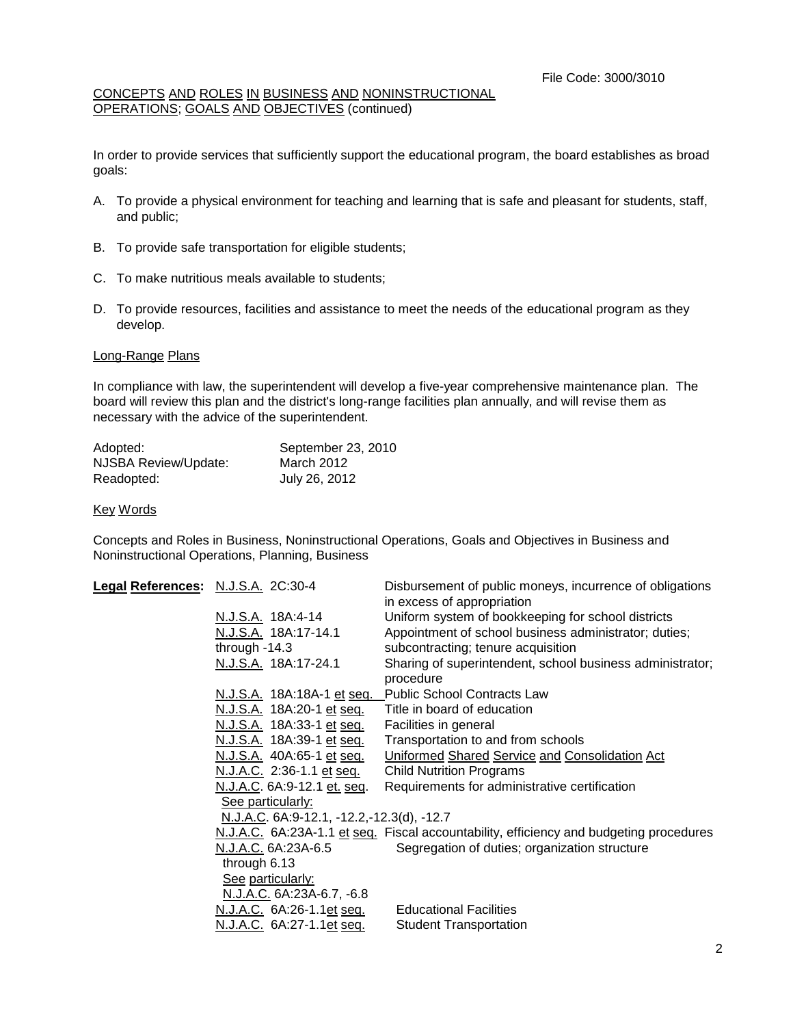## CONCEPTS AND ROLES IN BUSINESS AND NONINSTRUCTIONAL OPERATIONS; GOALS AND OBJECTIVES (continued)

In order to provide services that sufficiently support the educational program, the board establishes as broad goals:

- A. To provide a physical environment for teaching and learning that is safe and pleasant for students, staff, and public;
- B. To provide safe transportation for eligible students;
- C. To make nutritious meals available to students;
- D. To provide resources, facilities and assistance to meet the needs of the educational program as they develop.

#### Long-Range Plans

In compliance with law, the superintendent will develop a five-year comprehensive maintenance plan. The board will review this plan and the district's long-range facilities plan annually, and will revise them as necessary with the advice of the superintendent.

| Adopted:             | September 23, 2010 |
|----------------------|--------------------|
| NJSBA Review/Update: | March 2012         |
| Readopted:           | July 26, 2012      |

#### Key Words

Concepts and Roles in Business, Noninstructional Operations, Goals and Objectives in Business and Noninstructional Operations, Planning, Business

| Legal References: N.J.S.A. 2C:30-4 |                                                   | Disbursement of public moneys, incurrence of obligations                               |
|------------------------------------|---------------------------------------------------|----------------------------------------------------------------------------------------|
|                                    |                                                   | in excess of appropriation                                                             |
|                                    | N.J.S.A. 18A:4-14                                 | Uniform system of bookkeeping for school districts                                     |
|                                    | N.J.S.A. 18A:17-14.1                              | Appointment of school business administrator; duties;                                  |
|                                    | through $-14.3$                                   | subcontracting; tenure acquisition                                                     |
|                                    | N.J.S.A. 18A:17-24.1                              | Sharing of superintendent, school business administrator;                              |
|                                    |                                                   | procedure                                                                              |
|                                    |                                                   | N.J.S.A. 18A:18A-1 et seq. Public School Contracts Law                                 |
|                                    | N.J.S.A. 18A:20-1 et seq.                         | Title in board of education                                                            |
|                                    | N.J.S.A. 18A:33-1 et seq.                         | Facilities in general                                                                  |
|                                    | N.J.S.A. 18A:39-1 et seq.                         | Transportation to and from schools                                                     |
|                                    | N.J.S.A. 40A:65-1 et seq.                         | Uniformed Shared Service and Consolidation Act                                         |
|                                    | N.J.A.C. 2:36-1.1 et seq.                         | <b>Child Nutrition Programs</b>                                                        |
|                                    | N.J.A.C. 6A:9-12.1 et. seq.                       | Requirements for administrative certification                                          |
|                                    | See particularly:                                 |                                                                                        |
|                                    | <u>N.J.A.C</u> . 6A:9-12.1, -12.2,-12.3(d), -12.7 |                                                                                        |
|                                    |                                                   | N.J.A.C. 6A:23A-1.1 et seq. Fiscal accountability, efficiency and budgeting procedures |
|                                    | N.J.A.C. 6A:23A-6.5                               | Segregation of duties; organization structure                                          |
|                                    | through 6.13                                      |                                                                                        |
|                                    | See particularly:                                 |                                                                                        |
|                                    | N.J.A.C. 6A:23A-6.7, -6.8                         |                                                                                        |
|                                    | N.J.A.C. 6A:26-1.1et seq.                         | <b>Educational Facilities</b>                                                          |
|                                    | <u>N.J.A.C.</u> 6A:27-1.1et seq.                  | <b>Student Transportation</b>                                                          |
|                                    |                                                   |                                                                                        |